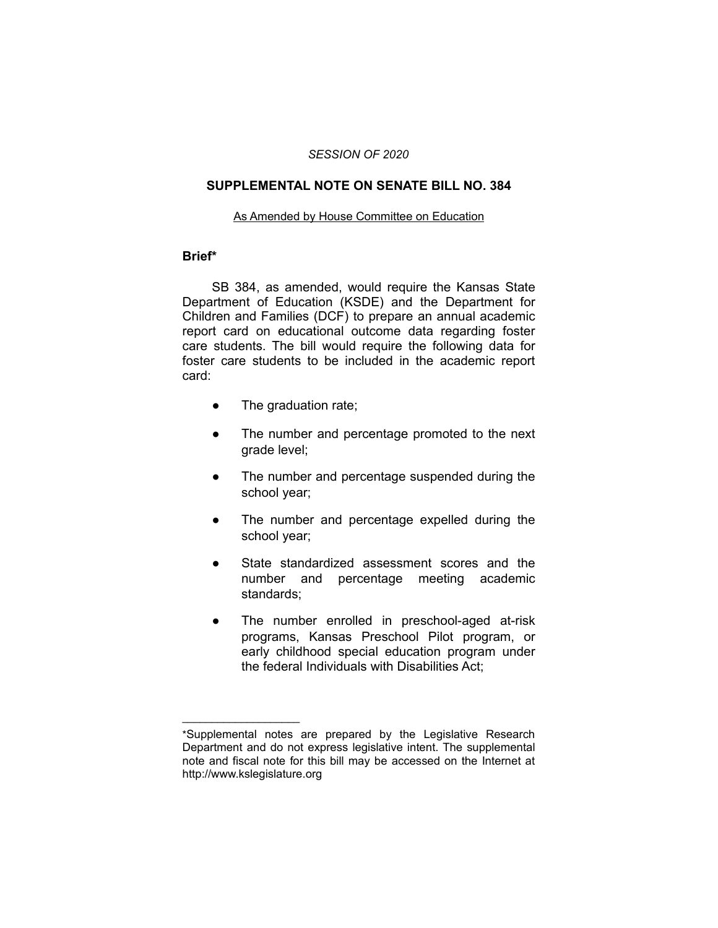# *SESSION OF 2020*

## **SUPPLEMENTAL NOTE ON SENATE BILL NO. 384**

#### As Amended by House Committee on Education

### **Brief\***

SB 384, as amended, would require the Kansas State Department of Education (KSDE) and the Department for Children and Families (DCF) to prepare an annual academic report card on educational outcome data regarding foster care students. The bill would require the following data for foster care students to be included in the academic report card:

• The graduation rate;

 $\overline{\phantom{a}}$  , where  $\overline{\phantom{a}}$  , where  $\overline{\phantom{a}}$ 

- The number and percentage promoted to the next grade level;
- The number and percentage suspended during the school year;
- The number and percentage expelled during the school year;
- State standardized assessment scores and the number and percentage meeting academic standards;
- The number enrolled in preschool-aged at-risk programs, Kansas Preschool Pilot program, or early childhood special education program under the federal Individuals with Disabilities Act;

<sup>\*</sup>Supplemental notes are prepared by the Legislative Research Department and do not express legislative intent. The supplemental note and fiscal note for this bill may be accessed on the Internet at http://www.kslegislature.org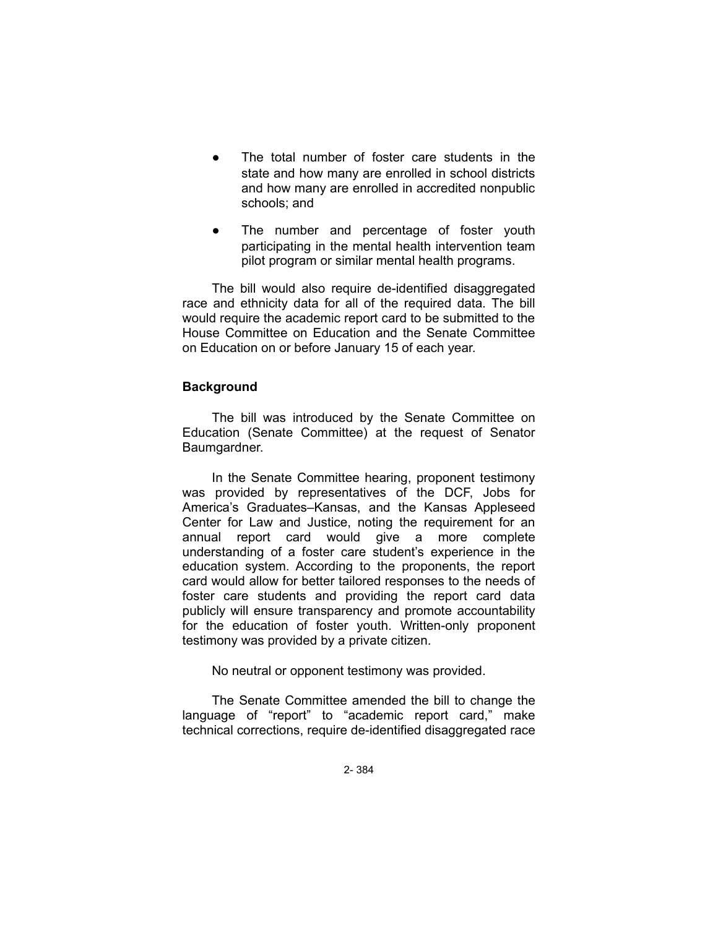- The total number of foster care students in the state and how many are enrolled in school districts and how many are enrolled in accredited nonpublic schools; and
- The number and percentage of foster youth participating in the mental health intervention team pilot program or similar mental health programs.

The bill would also require de-identified disaggregated race and ethnicity data for all of the required data. The bill would require the academic report card to be submitted to the House Committee on Education and the Senate Committee on Education on or before January 15 of each year.

## **Background**

The bill was introduced by the Senate Committee on Education (Senate Committee) at the request of Senator Baumgardner.

In the Senate Committee hearing, proponent testimony was provided by representatives of the DCF, Jobs for America's Graduates–Kansas, and the Kansas Appleseed Center for Law and Justice, noting the requirement for an annual report card would give a more complete understanding of a foster care student's experience in the education system. According to the proponents, the report card would allow for better tailored responses to the needs of foster care students and providing the report card data publicly will ensure transparency and promote accountability for the education of foster youth. Written-only proponent testimony was provided by a private citizen.

No neutral or opponent testimony was provided.

The Senate Committee amended the bill to change the language of "report" to "academic report card," make technical corrections, require de-identified disaggregated race